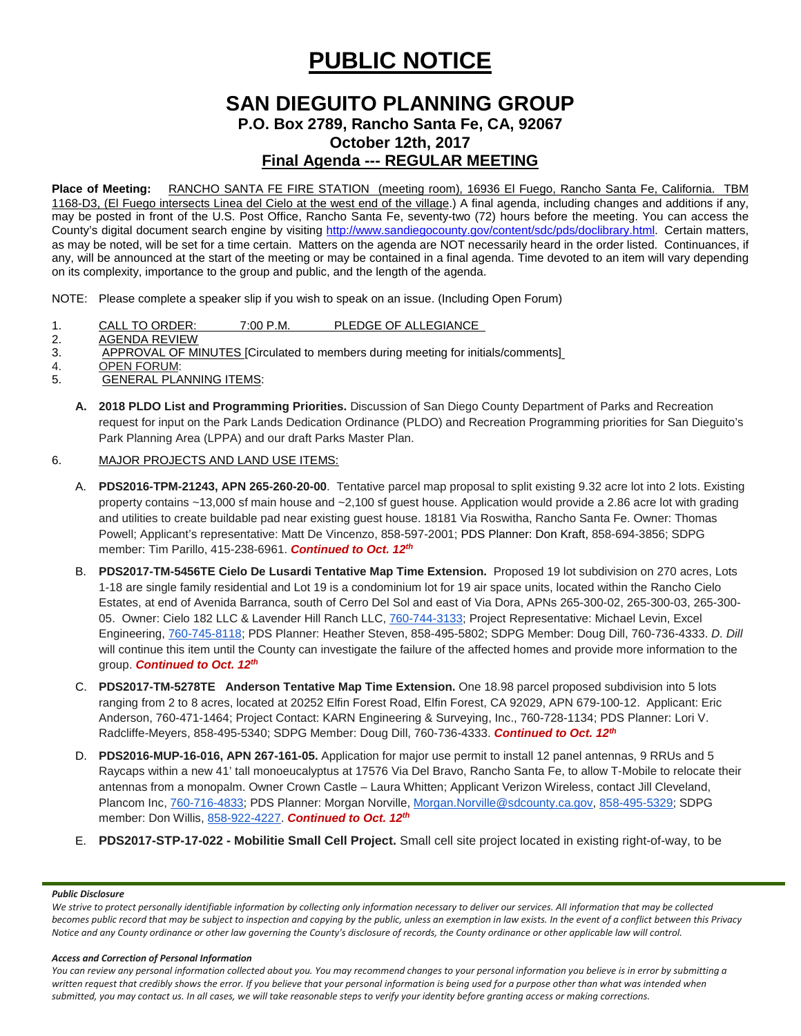# **PUBLIC NOTICE**

# **SAN DIEGUITO PLANNING GROUP P.O. Box 2789, Rancho Santa Fe, CA, 92067**

**October 12th, 2017**

**Final Agenda --- REGULAR MEETING**

**Place of Meeting:** RANCHO SANTA FE FIRE STATION (meeting room), 16936 El Fuego, Rancho Santa Fe, California. TBM 1168-D3, (El Fuego intersects Linea del Cielo at the west end of the village.) A final agenda, including changes and additions if any, may be posted in front of the U.S. Post Office, Rancho Santa Fe, seventy-two (72) hours before the meeting. You can access the County's digital document search engine by visiting<http://www.sandiegocounty.gov/content/sdc/pds/doclibrary.html>. Certain matters, as may be noted, will be set for a time certain. Matters on the agenda are NOT necessarily heard in the order listed. Continuances, if any, will be announced at the start of the meeting or may be contained in a final agenda. Time devoted to an item will vary depending on its complexity, importance to the group and public, and the length of the agenda.

NOTE: Please complete a speaker slip if you wish to speak on an issue. (Including Open Forum)

- 1. CALL TO ORDER: 7:00 P.M. PLEDGE OF ALLEGIANCE<br>2. AGENDA REVIEW
- **AGENDA REVIEW**
- 3. APPROVAL OF MINUTES [Circulated to members during meeting for initials/comments]
- 4. <u>OPEN FORUM</u>:<br>5. GENERAL PLA
- **GENERAL PLANNING ITEMS:** 
	- **A. 2018 PLDO List and Programming Priorities.** Discussion of San Diego County Department of Parks and Recreation request for input on the Park Lands Dedication Ordinance (PLDO) and Recreation Programming priorities for San Dieguito's Park Planning Area (LPPA) and our draft Parks Master Plan.

### 6. MAJOR PROJECTS AND LAND USE ITEMS:

- A. **PDS2016-TPM-21243, APN 265-260-20-00**. Tentative parcel map proposal to split existing 9.32 acre lot into 2 lots. Existing property contains ~13,000 sf main house and ~2,100 sf guest house. Application would provide a 2.86 acre lot with grading and utilities to create buildable pad near existing guest house. 18181 Via Roswitha, Rancho Santa Fe. Owner: Thomas Powell; Applicant's representative: Matt De Vincenzo, 858-597-2001; PDS Planner: Don Kraft, 858-694-3856; SDPG member: Tim Parillo, [415-238-6961.](tel:415-238-6961) *Continued to Oct. 12th*
- B. **PDS2017-TM-5456TE Cielo De Lusardi Tentative Map Time Extension.** Proposed 19 lot subdivision on 270 acres, Lots 1-18 are single family residential and Lot 19 is a condominium lot for 19 air space units, located within the Rancho Cielo Estates, at end of Avenida Barranca, south of Cerro Del Sol and east of Via Dora, APNs 265-300-02, 265-300-03, 265-300- 05. Owner: Cielo 182 LLC & Lavender Hill Ranch LLC, [760-744-3133;](tel:(760)%20744-3133) Project Representative: Michael Levin, Excel Engineering, [760-745-8118;](tel:(760)%20745-8118) PDS Planner: Heather Steven, [858-495-5802;](tel:(858)%20495-5802) SDPG Member: Doug Dill, [760-736-4333.](tel:(760)%20736-4333) *D. Dill* will continue this item until the County can investigate the failure of the affected homes and provide more information to the group. *Continued to Oct. 12th*
- C. **PDS2017-TM-5278TE Anderson Tentative Map Time Extension.** One 18.98 parcel proposed subdivision into 5 lots ranging from 2 to 8 acres, located at 20252 Elfin Forest Road, Elfin Forest, CA 92029, APN 679-100-12. Applicant: Eric Anderson, 760-471-1464; Project Contact: KARN Engineering & Surveying, Inc., 760-728-1134; PDS Planner: Lori V. Radcliffe-Meyers, 858-495-5340; SDPG Member: Doug Dill, 760-736-4333. *Continued to Oct. 12th*
- D. **PDS2016-MUP-16-016, APN 267-161-05.** Application for major use permit to install 12 panel antennas, 9 RRUs and 5 Raycaps within a new 41' tall monoeucalyptus at 17576 Via Del Bravo, Rancho Santa Fe, to allow T-Mobile to relocate their antennas from a monopalm. Owner Crown Castle – Laura Whitten; Applicant Verizon Wireless, contact Jill Cleveland, Plancom Inc, [760-716-4833;](tel:(760)%20716-4833) PDS Planner: Morgan Norville, [Morgan.Norville@sdcounty.ca.gov,](mailto:Morgan.Norville@sdcounty.ca.gov) [858-495-5329;](tel:(858)%20495-5329) SDPG member: Don Willis, [858-922-4227.](tel:(858)%20922-4227) *Continued to Oct. 12th*
- E. **PDS2017-STP-17-022 - Mobilitie Small Cell Project.** Small cell site project located in existing right-of-way, to be

#### *Public Disclosure*

*We strive to protect personally identifiable information by collecting only information necessary to deliver our services. All information that may be collected becomes public record that may be subject to inspection and copying by the public, unless an exemption in law exists. In the event of a conflict between this Privacy Notice and any County ordinance or other law governing the County's disclosure of records, the County ordinance or other applicable law will control.*

#### *Access and Correction of Personal Information*

*You can review any personal information collected about you. You may recommend changes to your personal information you believe is in error by submitting a*  written request that credibly shows the error. If you believe that your personal information is being used for a purpose other than what was intended when *submitted, you may contact us. In all cases, we will take reasonable steps to verify your identity before granting access or making corrections.*